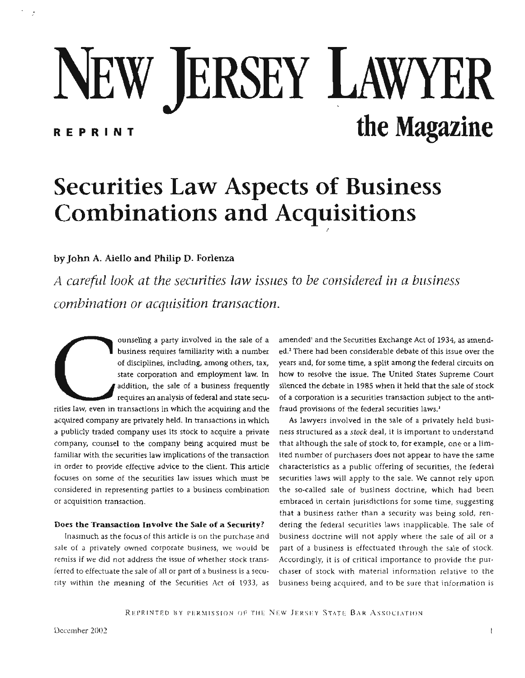# NEW JERSEY LAWYER REPRINT **the Magazine**

# **Securities Law Aspects of Business Combinations and Acquisitions**

## **by John A. Aiello and Philip D. Forlema**

*A careful look at the securities law issues to be considered in a business combination or acquisition transaction.* 

**COMPRETERT CONSUMPTER AND THE CONSUMPTER SURFACE IS USED ASSEMBLY AND STATE OF A SURFACE CONDUCT AND ACCORDINGLATED AND ACCORDINGLATED AND REGISTED AND REGISTED AND REGISTED AND REGISTED AND REGISTED AND REGISTED AND REGI** business requires familiarity **with** a number of disciplines, including, among others, tax, state corporation and employment law. In addition, the sale of a business frequently requires an analysis of federal and state securities law, even in transactions in which the acquiring and the acquired company are privately held. In transactions in which a publicly traded company uses its stock to acquire a private company, counsel to the company being acquired must be familiar with the securities law implications of the transaction in order to provide effective advice to the client. This article focuses on some of the securities taw issues which must be considered in representing parties to a business combination or acquisition transaction.

#### **Does the Transaction Involve the Sale of a Security?**

fnasmuch as the focus of this article **is** on the purchase and sale of a privately owned corporate business, we would be **remiss** if we **did** not address the issue of whether stock transferred to effectuate the sale of all or part of a business **is** a security within the meaning of the Securities **Act** of 1933, as

amended' and the Securities Exchange Act of 1934, as amended.2 There had been considerable debate of this issue over the years and, for some time, a **split** among the federal **circuits** on how to resolve the issue. The United States Supreme Court silenced the debate in 1985 when it held that the sale of stock of a corporation is a securities transaction subject to the antifraud provisions of the federal securities laws.'

**As** lawyers involved in the sale of a privately held business structured as a stock deal, it is important to understand that although the sale of stock to, for example, one or a limited **number** of purchasers does not appear to have the **same**  characteristics as a public offering of securities, the federal securities laws will apply to the sale, We cannot rely upon the so-called sale of business doctrine, which had been embraced in certain jurisdictions for some time, suggesting that a business rather than a security was being sold, ren**dering** the federal securities laws **inapplicable.** The sale of **business** doctrine **will** not apply where the sale of **311** or a part of a business is effectuated through the sale of stock. **Accordingly,** it **is** of critical importance to **provide** the purchaser of stock with material information relative to the business being acquired, and to be sure **that** information **is** 

REPRINTED BY PERMISSION OF THE NEW JERSEY STATE BAR ASSOCIATION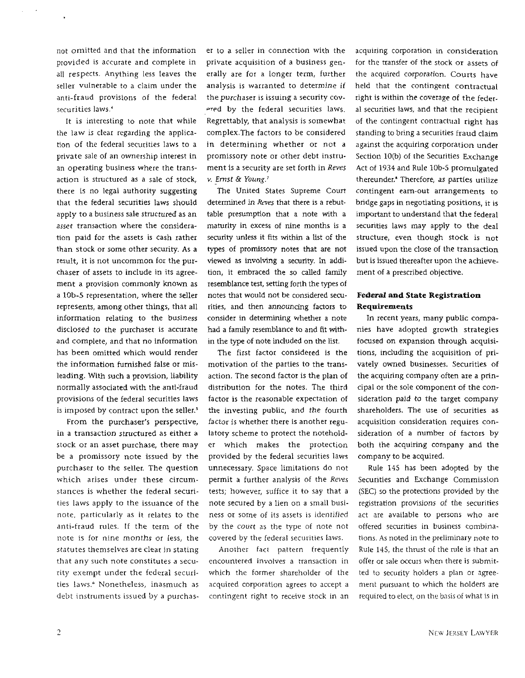not omitted and that the information provided is accurate and complete in **all** respects. Anything less leaves the seller vulnerable to a claim under the anti-fraud provisions of the federal securities laws.'

It **is** interesting to note that while the law is clear regarding the application **of** the federal securities Iaws to a private sale of an ownership interest in an operating business where the transaction is structured as a sale of stock, there is no legal authority suggesting that the federal securities laws should apply to a business sale structured as an asset transaction where the consideration paid for the assets is cash rather than stock or some other security. As a result, it is not uncommon for the purchaser of assets to include in **its** agreement a provision common1y **known** as a **lob-5** representation, where the seller represents, among other things, that all information relating to the business disclosed to the purchaser is accurate and complete, and that no information bas been omitted which would render the information furnished false or misleading. With such a provision, liability normally associated with the anti-fraud provisions of the federal securities laws is imposed by contract upon the seller. $5$ 

From the purchaser's perspective, in a transaction structured as either a stock or an asset purchase, there may be a promissory note issued by the purchaser to the seller. The question which arises under these circumstances is whether the federal securities laws apply to the issuance of the note, particularly as it relates to the anti-fraud rules. If the term of the note is for nine months or less, the statutes themselves are clear **jn** stating that any such note constitutes a security exempt under the federal securities laws.<sup>6</sup> Nonetheless, inasmuch as debt instruments issued by a purchaser to a seller in connection with the private acquisition of a business generally are for a longer term, further analysis is warranted to determine if the purchaser **is** issuing a security covered by the federal securities laws. Regrettably, that analysis is somewhat comp1ex.The factors to be considered in determining whether or not a promissory note **or** other debt instru**ment** is a security are set forth in Reves **v.** *Emst* & *Young.'* 

**The** United States Supreme Court determined in *Reves* that there is a rebuttable presumption that a note with a maturity in excess of nine months is a security unless it fits within a list of the types of promissory notes that are not viewed as involving a security. In addition, it embraced the so called **family**  resemblance test, **setting** forth the types of notes that would not be considered securities, and then announcing factors to consider in determining whether a note had a family resemblance to and fit within the **type** of note included on the list.

The first factor considered is the motivation of the parties to the transaction. The second factor is the plan of distribution for the notes. The third factor is the reasonable expectation of the investing public, and the fourth factor is whether there is another regulatory scheme to protect the noteholder which makes the protection provided **by** the federal securities **Iaws**  unnecessary. Space limitations do not permit a further analysis of the *Reves*  tests; however, suffice it to say that a note secured by a lien on a small business or some of its assets is identified by the court as the type of note not covered by the federal securities laws,

Another fact pattern frequently encountered involves a transaction in which the former shareholder of the acquired corporation agrees to accept a contingent right to receive stock in an acquiring corporation in consideration for the transfer of the stock or assets of the acquired corporation. Courts have held that the contingent contractual right is within the coverage of the federal securities laws, and that the recipient of the contingent contractual right has standing to bring a securities fraud claim against the acquiring corporation under Section 10(b) of the Securities Exchange Act of 1934 and Rule lob-5 promulgated thereunder.<sup>8</sup> Therefore, as parties utilize contingent earn-out arrangements to bridge gaps in negotiating positions, it is important to understand that **the** federal securities **laws** may apply to the deal structure, even though stock is not issued upon the close of the transaction but is issued thereafter upon the achievement of a prescribed objective.

### **Federal md State Registration Requirements**

In recent years, many public companies have adopted growth strategies focused on expansion through acquisitions, including the acquisition of privately owned businesses. Securities of the acquiring company often are a principal or the sole component of the consideration paid to the target company shareholders. The use of securities as acquisition consideration requires consideration of a number of factors by both the acquiring company and the company to be acquired.

Rule 145 has been adopted by the Securities and Exchange Commission **(SEC)** so the protections provided by the registration provisions of the securities act are available to persons who are offered securities in business cornbjnations. As noted in the preliminary note to Rule **145,** the thmst of the rule is that an offer or sale occurs when there is submitted to security holders a plan or agreement pursuant to which the holders are required **to** elect, on the basis of what is in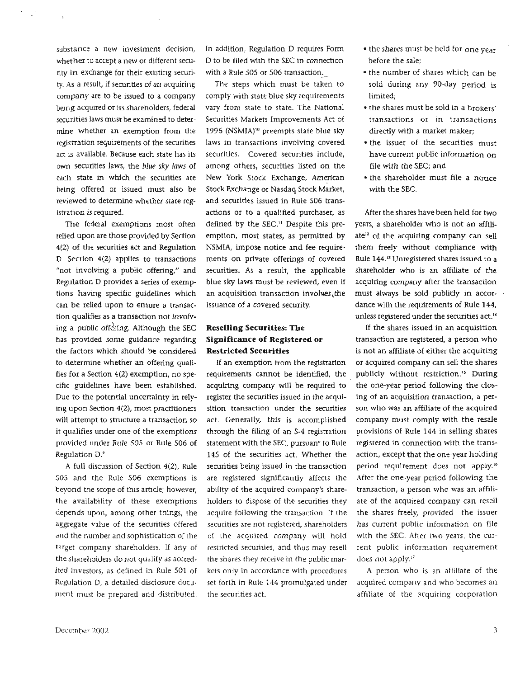substance a new investment decision. whether to accept a new or different **secu**rity in exchange for their existing securi**ty. As** a result, if securities of an acquiring company are to be issued to a company being acquired or its shareholders, federal securities laws must be examined to determine whether an exemption from the registration requirements of the securities act is available. Because each state has its **own** securities laws, the blue **sky** *lmvs* of each state in **which** the securities are being offered or issued must also be reviewed to determine whether state registration is required.

The federal exemptions most often relied upon are those provided by Section **4t2)** of the securities act and Regulation **D.** Section **4(2)** applies to transactions "not involving a public offering," and Regulation **D** provides a series of exemptions having specific guidelines which can be relied upon to ensure a transaction qualifies as a transaction not involving a public offering. Although the SEC has provided some guidance regarding the factors which should be considered to determine whether an offering qualifies for a Section **4(2)** exemption, no specific guidelines have been established. Due to the potential uncertainty in refying upon Section 4(2), most practitioners **will** attempt to structure a transaction so it qualifies under one of the exemptions provided under Rule 505 or Rule 506 of Regulation D?

**A** full discussion of Section **4(2),** Rule 505 and the Rule **506** exemptions is beyond the scope of this article; however, the availability of these exemptions depends upon, among other things, the aggregate value of the securities offered and the number and sophistication of the target company shareholders. If any of the shareholders do not qualify as accredited investors, as defined in Rule 501 of Regulation D, a detailed disclosure document must **be** prepared and distributed. In addition, Regulation D requires **Form D** to be filed with the **SEC** in connection with a Rule 505 or 506 transaction,

The steps which **must** be taken to comply with state blue sky requirements vary from state to state. The National Securities Markets Improvements **Act** of 1996 (NSMIA)<sup>10</sup> preempts state blue sky laws in transactions involving covered securities. Covered securities include, among others, securities listed on the New York Stock Exchange, American Stock Exchange or Nasdaq Stock Market, and securities issued in Rule 506 transactions or to a qualified purchaser, as defined by the **SEC."** Despite this preemption, most states, as permitted by **NSMfA,** impose notice and fee requirements on private offerings of covered securities. As a result, the applicable blue sky Iaws must be reviewed, even if an acquisition transaction involues,the issuance of a covered security.

### **Reselling Securities: The Significance of Registered or Restricted Securities**

If an exemption from the registration requirements cannot be identified, the acquiring company will be required to register the securities issued in the acquisition transaction under the securities act. Generally, this is accomplished through the Filing of an **S-4** registration statement with the **SEC,** pursuant to Rule 145 of the securities act. Whether the securities being issued in the transaction are registered significantly affects the abiliv of the acquired company's shareholders to dispose of the securities they acquire following the transaction. If the securities are not registered, shareholders of the acquired company **will** hold restricred securities, and thus may resell the shares they receive in the public markets only in accordance with procedures set forth in Rule 144 promulgated under the securities act.

- the shares must be held for one year before the sale;
- the number of shares which can be sold during any 90-day period is limited;
- the shares must be sold in a **brokers'**  transactions or in transactions directly with a market maker;
- the issuer of the securities must have current public information on file with the **SEC;** and
- the shareholder must file a notice with the **SEC.**

After the shares have **been** held for **two**  years, a shareholder who is not an affili $ate^{32}$  of the acquiring company can sell them freely without compliance **with**  Rule 144.13 Unregistered shares **issued** to a shareholder who is an affiliate of the acquiring company after the transaction must always be sold **publidy** in accordance with the requirements of Rule 144, unless registered under the **securities act.'\*** 

If the shares issued in an acquisition transaction are registered, a person who **is** not an affiliate of either the acquiring or acquired company can sell the shares publicly without restriction.<sup>15</sup> During the one-year period following the closing **of** an acquisition transaction, a person who was an affiliate of the acquired company must comply with the resale provisions of Rule 144 in selling shares registered in connection with the transaction, except that the one-year holding period requirement does not apply.14 After the one-year period following the transaction, a person who was an affiliate of the acquired company can resell the shares freely, provided the issuer has current public information on file with the SEC. After two years, the current public information requirement does **not** apply."

A person who is an affiliate of the acquired company and who becomes an affiliate of the acquiring corporation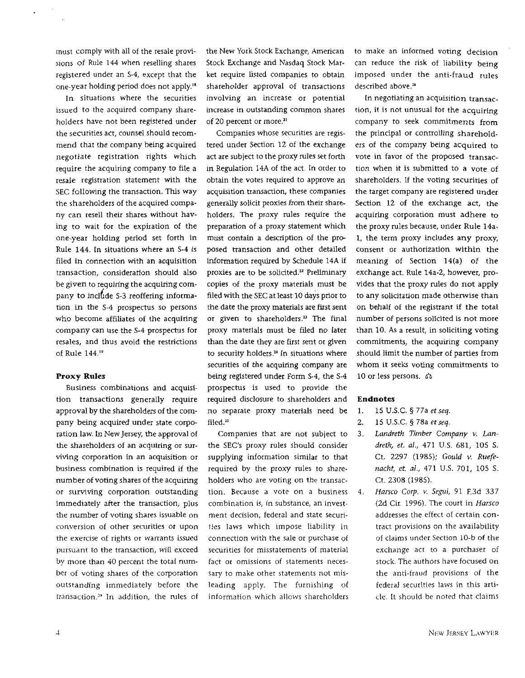must **comply** with all of the resale provisions of Rule 144 when reselling shares registered under an **5-4,** except that the one-year holding period does not apply.'"

In situations where the securities issued to the acquired company shareholders have not been registered under the securities act, counsel should recommend that the company being acquired negotiate registration rights which require the acquiring company to file a resale registration statement with the SEC following the transaction. This way the shareholders of the acquired company can resell their shares without having to wait for the expiration of the one-year holding period set forth in Rule 144. **tn** situations where an 54 **Is**  filed in connection with an acquisition transaction, consideration should also be given to requiring the acquiring company to inclhde **S-3** reoffering information in the **S-4** prospectus so persons who become affiliates of the acquiring company can use the **S-4** prospectus for resales, and thus avoid the restrictions of **Rule** 1 **44.19** 

#### **Proxy Rules**

Business combinations and acquisition transactions generally require approval by the shareholders of the company being acquired under state corporation law. In New Jersey, the approval of the shareholders of an acquiring or surviving corporation in an acquisition or business combination is required if the number of voting shares of the acquiring or surviving corporation outstanding immediately after the transaction, plus the number of voting shares issuable on conversion of other securities or upon the exercise of rights **ar** warrants issued pursuant to the transaction, **will** exceed by more than 40 percent the totaf number of voting shares of the corporation outstanding immediately before the transaction."' In addition, the rules of

the New York Stock Exchange, American Stock Exchange and Nasdaq Stock Market require listed companies to obtain shareholder approval of transactions involving an increase or potential increase in outstanding common shares of 20 percent or more.<sup>21</sup>

Companies whose securities are registered under Section 12 of the exchange act are subject to the proxy rules set forth in Regulation **14A** of the act. In order to obtain the votes required to approve an acquisition transaction, these companies generally solicit proxies from their shareholders. The proxy rules require the preparation of a proxy statement which must contain a description of the proposed transaction and other detailed information required by Schedule **14A** if proxies are to be solicited.<sup>22</sup> Preliminary copies of the proxy materials must **be**  filed with the SEC at least 10 days prior to the date the proxy materials are first sent or given to shareholders.<sup>23</sup> The final proxy materials must be filed no later than the date they are first sent or given to security holders.<sup>24</sup> In situations where securities of the acquiring company are being registered under Form S-4, the **5-4**  prospectus is used to provide the required disclosure to shareholders and no separate proxy materials need be filed.<sup>25</sup>

Companies that are not subject to the **SEC's** proxy rules should consider supplying information similar to that required by the proxy rules to shareholders who are voting on the transaction. Because a vote on a business combination is, in substance, an investment decision, federal and state securities laws which impose liability in connection with the sale or purchase of securities for misstatements of material fact or omissions of statements necessary to make other statements not misleading apply. The furnishing of information which allows shareholders

to make an informed voting decision can reduce the risk of liability **being**  imposed under the anti-fraud rules described above.<sup>26</sup>

In negotiating an acquisition transaction, it is not unusual for the acquiring company to seek commitments from the principal or controlling shareholders of the company being acquired to vote in favor of the proposed transaction when **it** is submitted to a vote of shareholders. If the voting securities of the target company are registered under Section 12 of the exchange act, **the**  acquiring corporation must adhere to the proxy rules because, under Rule **14a-**1, the term proxy indudes any proxy, consent or authorization within the meaning of Section **14(a)** of the exchange act. Rule 14a-2, however, provides that the proxy **rules** do **not** apply to any solicitation made otherwise than on behalf of the registrant if the total number of persons solicited is **not** more than 10. **As** a result, in soliciting voting commitments, the acquiring company should limit the number of parties from whom it seeks voting commitments to 10 or less persons. 6a

#### **Endnotes**

- 1. 15 U.S.C. § 77a et seq.
- 2. 15 U.S.C. § 78a et seq.
- **3.** *Landreth Timber* **Company v.** *Lan*dreth, et. *dl.,* 471 **U.S.** 681, 105 **S.**  Ct. **2297 (1985);** *Gould* **v.** *Ruefenacht,* et. **nl.,** 471 **U.S.** 701, 105 S. Ct. 2308 **(1985).**
- **4.** *Harsco* **Corp. v. Segui,** 91 E3d 337 (26 Cir. 1996). **The** court in Harsco addresses the effect of certain contract provisions on the availability of claims under Section 10-b of the exchange act to a purchaser of stock. The authors have focused on the anti-fraud provisions of the federai securities laws in this article. It should be noted that claims